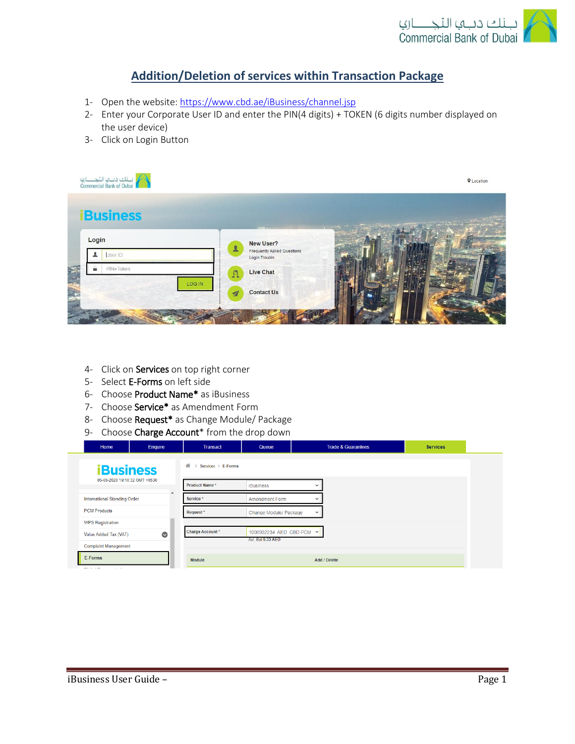

## **Addition/Deletion of services within Transaction Package**

- 1- Open the website:<https://www.cbd.ae/iBusiness/channel.jsp>
- 2- Enter your Corporate User ID and enter the PIN(4 digits) + TOKEN (6 digits number displayed on the user device)
- 3- Click on Login Button



- 4- Click on Services on top right corner
- 5- Select E-Forms on left side
- 6- Choose Product Name\* as iBusiness
- 7- Choose Service\* as Amendment Form
- 8- Choose Request\* as Change Module/ Package
- 9- Choose Charge Account\* from the drop down

|  | Home                                                                            | Enquire   | <b>Transact</b>         | Queue                                         | <b>Trade &amp; Guarantees</b> | <b>Services</b> |
|--|---------------------------------------------------------------------------------|-----------|-------------------------|-----------------------------------------------|-------------------------------|-----------------|
|  | <b>iBusiness</b><br>05-08-2020 19:10:32 GMT +0530                               |           | 誉<br>Services > E-Forms |                                               |                               |                 |
|  |                                                                                 |           | Product Name*           | <b>iBusiness</b>                              |                               |                 |
|  | <b>International Standing Order</b>                                             |           | Service *               | <b>Amendment Form</b>                         |                               |                 |
|  | <b>PCM Products</b>                                                             |           | Request*                | Change Module/ Package                        | $\checkmark$                  |                 |
|  | <b>WPS Registration</b><br>Value Added Tax (VAT)<br><b>Complaint Management</b> | $\bullet$ | Charge Account*         | 1000932234 AED CBD PCM V<br>Avl. Bal 9.33 AED |                               |                 |
|  | E-Forms<br><b>COLLAGE</b><br>$\alpha = 100$                                     |           | Module                  |                                               | Add / Delete                  |                 |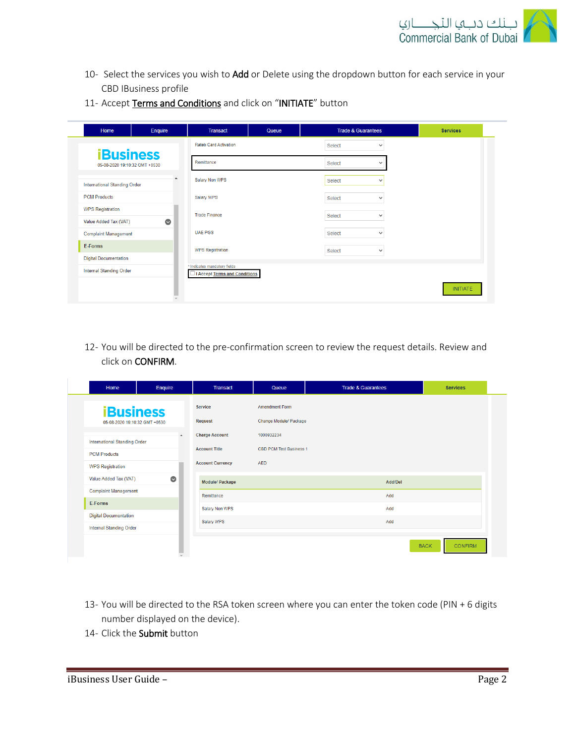

- 10- Select the services you wish to Add or Delete using the dropdown button for each service in your CBD IBusiness profile
- 11- Accept Terms and Conditions and click on "INITIATE" button

| Home                                | Enquire   | <b>Transact</b>                                               | Queue | <b>Trade &amp; Guarantees</b> |              | <b>Services</b> |
|-------------------------------------|-----------|---------------------------------------------------------------|-------|-------------------------------|--------------|-----------------|
| <b>iBusiness</b>                    |           | <b>Rateb Card Activation</b>                                  |       | Select                        | $\checkmark$ |                 |
| 05-08-2020 19:10:32 GMT +0530       |           | Remittance                                                    |       | <b>Select</b>                 | $\check{ }$  |                 |
| <b>International Standing Order</b> | ▲         | Salary Non WPS                                                |       | Select                        | $\checkmark$ |                 |
| <b>PCM Products</b>                 |           | Salary WPS                                                    |       | Select                        | $\checkmark$ |                 |
| <b>WPS Registration</b>             |           | <b>Trade Finance</b>                                          |       | Select                        | $\checkmark$ |                 |
| Value Added Tax (VAT)               | $\bullet$ |                                                               |       |                               |              |                 |
| <b>Complaint Management</b>         |           | <b>UAE PGS</b>                                                |       | Select                        | $\checkmark$ |                 |
| E-Forms                             |           | <b>WPS Registration</b>                                       |       | Select                        | $\checkmark$ |                 |
| <b>Digital Documentation</b>        |           |                                                               |       |                               |              |                 |
| <b>Internal Standing Order</b>      |           | * Indicates mandatory fields<br>I Accept Terms and Conditions |       |                               |              |                 |
|                                     |           |                                                               |       |                               |              | <b>INITIATE</b> |

12- You will be directed to the pre-confirmation screen to review the request details. Review and click on CONFIRM.

| Home                                                           | Enquire          | <b>Transact</b>         | Queue                          | <b>Trade &amp; Guarantees</b> | <b>Services</b>               |
|----------------------------------------------------------------|------------------|-------------------------|--------------------------------|-------------------------------|-------------------------------|
| <b>iBusiness</b><br>05-08-2020 19:10:32 GMT +0530              |                  | <b>Service</b>          | <b>Amendment Form</b>          |                               |                               |
|                                                                |                  | Request                 | Change Module/ Package         |                               |                               |
| <b>International Standing Order</b>                            | $\blacktriangle$ | <b>Charge Account</b>   | 1000932234                     |                               |                               |
| <b>PCM Products</b>                                            |                  | <b>Account Title</b>    | <b>CBD PCM Test Business 1</b> |                               |                               |
| <b>WPS Registration</b><br>Value Added Tax (VAT)               |                  | <b>Account Currency</b> | <b>AED</b>                     |                               |                               |
|                                                                | $\bullet$        | Module/ Package         |                                | Add/Del                       |                               |
| <b>Complaint Management</b>                                    |                  | Remittance              |                                | Add                           |                               |
| E-Forms                                                        |                  | Salary Non WPS          |                                | Add                           |                               |
| <b>Digital Documentation</b><br><b>Internal Standing Order</b> |                  | Salary WPS              |                                | Add                           |                               |
|                                                                |                  |                         |                                |                               | <b>CONFIRM</b><br><b>BACK</b> |

- 13- You will be directed to the RSA token screen where you can enter the token code (PIN + 6 digits number displayed on the device).
- 14- Click the Submit button